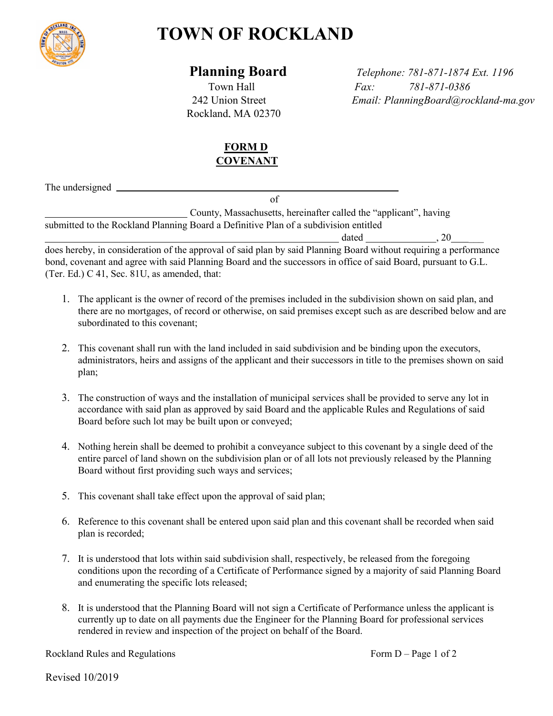

## **TOWN OF ROCKLAND**

Rockland, MA 02370

 **Planning Board** *Telephone: 781-871-1874 Ext. 1196* Town Hall *Fax: 781-871-0386* 242 Union Street *Email: PlanningBoard@rockland-ma.gov*

## **FORM D COVENANT**

The undersigned

of

County, Massachusetts, hereinafter called the "applicant", having submitted to the Rockland Planning Board a Definitive Plan of a subdivision entitled

 $\frac{dated}{ }$ , 20 does hereby, in consideration of the approval of said plan by said Planning Board without requiring a performance bond, covenant and agree with said Planning Board and the successors in office of said Board, pursuant to G.L. (Ter. Ed.) C 41, Sec. 81U, as amended, that:

- 1. The applicant is the owner of record of the premises included in the subdivision shown on said plan, and there are no mortgages, of record or otherwise, on said premises except such as are described below and are subordinated to this covenant;
- 2. This covenant shall run with the land included in said subdivision and be binding upon the executors, administrators, heirs and assigns of the applicant and their successors in title to the premises shown on said plan;
- 3. The construction of ways and the installation of municipal services shall be provided to serve any lot in accordance with said plan as approved by said Board and the applicable Rules and Regulations of said Board before such lot may be built upon or conveyed;
- 4. Nothing herein shall be deemed to prohibit a conveyance subject to this covenant by a single deed of the entire parcel of land shown on the subdivision plan or of all lots not previously released by the Planning Board without first providing such ways and services;
- 5. This covenant shall take effect upon the approval of said plan;
- 6. Reference to this covenant shall be entered upon said plan and this covenant shall be recorded when said plan is recorded;
- 7. It is understood that lots within said subdivision shall, respectively, be released from the foregoing conditions upon the recording of a Certificate of Performance signed by a majority of said Planning Board and enumerating the specific lots released;
- 8. It is understood that the Planning Board will not sign a Certificate of Performance unless the applicant is currently up to date on all payments due the Engineer for the Planning Board for professional services rendered in review and inspection of the project on behalf of the Board.

Rockland Rules and Regulations Form D – Page 1 of 2

Revised 10/2019